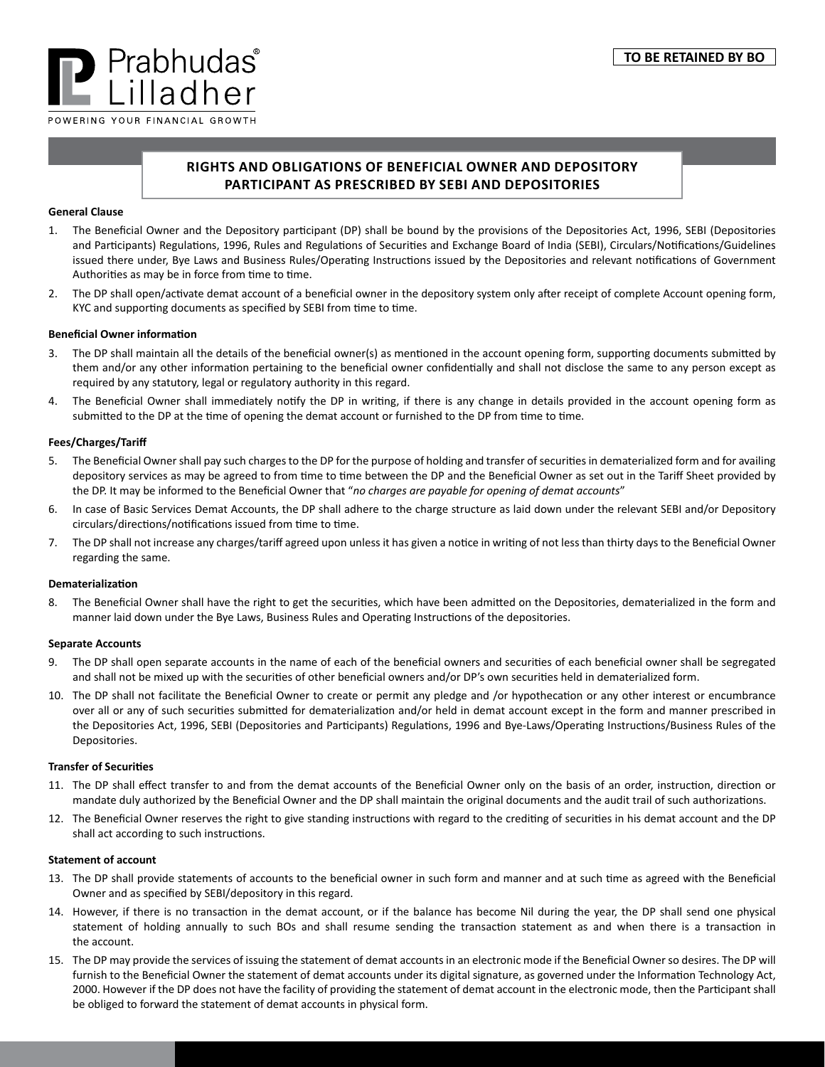

# **Rights and Obligations of Beneficial Owner and Depository Participant as prescribed by SEBI and Depositories**

# **General Clause**

- 1. The Beneficial Owner and the Depository participant (DP) shall be bound by the provisions of the Depositories Act, 1996, SEBI (Depositories and Participants) Regulations, 1996, Rules and Regulations of Securities and Exchange Board of India (SEBI), Circulars/Notifications/Guidelines issued there under, Bye Laws and Business Rules/Operating Instructions issued by the Depositories and relevant notifications of Government Authorities as may be in force from time to time.
- 2. The DP shall open/activate demat account of a beneficial owner in the depository system only after receipt of complete Account opening form, KYC and supporting documents as specified by SEBI from time to time.

# **Beneficial Owner information**

- 3. The DP shall maintain all the details of the beneficial owner(s) as mentioned in the account opening form, supporting documents submitted by them and/or any other information pertaining to the beneficial owner confidentially and shall not disclose the same to any person except as required by any statutory, legal or regulatory authority in this regard.
- 4. The Beneficial Owner shall immediately notify the DP in writing, if there is any change in details provided in the account opening form as submitted to the DP at the time of opening the demat account or furnished to the DP from time to time.

# **Fees/Charges/Tariff**

- 5. The Beneficial Owner shall pay such charges to the DP for the purpose of holding and transfer of securities in dematerialized form and for availing depository services as may be agreed to from time to time between the DP and the Beneficial Owner as set out in the Tariff Sheet provided by the DP. It may be informed to the Beneficial Owner that "*no charges are payable for opening of demat accounts*"
- 6. In case of Basic Services Demat Accounts, the DP shall adhere to the charge structure as laid down under the relevant SEBI and/or Depository circulars/directions/notifications issued from time to time.
- 7. The DP shall not increase any charges/tariff agreed upon unless it has given a notice in writing of not less than thirty days to the Beneficial Owner regarding the same.

#### **Dematerialization**

8. The Beneficial Owner shall have the right to get the securities, which have been admitted on the Depositories, dematerialized in the form and manner laid down under the Bye Laws, Business Rules and Operating Instructions of the depositories.

#### **Separate Accounts**

- 9. The DP shall open separate accounts in the name of each of the beneficial owners and securities of each beneficial owner shall be segregated and shall not be mixed up with the securities of other beneficial owners and/or DP's own securities held in dematerialized form.
- 10. The DP shall not facilitate the Beneficial Owner to create or permit any pledge and /or hypothecation or any other interest or encumbrance over all or any of such securities submitted for dematerialization and/or held in demat account except in the form and manner prescribed in the Depositories Act, 1996, SEBI (Depositories and Participants) Regulations, 1996 and Bye-Laws/Operating Instructions/Business Rules of the Depositories.

# **Transfer of Securities**

- 11. The DP shall effect transfer to and from the demat accounts of the Beneficial Owner only on the basis of an order, instruction, direction or mandate duly authorized by the Beneficial Owner and the DP shall maintain the original documents and the audit trail of such authorizations.
- 12. The Beneficial Owner reserves the right to give standing instructions with regard to the crediting of securities in his demat account and the DP shall act according to such instructions.

#### **Statement of account**

- 13. The DP shall provide statements of accounts to the beneficial owner in such form and manner and at such time as agreed with the Beneficial Owner and as specified by SEBI/depository in this regard.
- 14. However, if there is no transaction in the demat account, or if the balance has become Nil during the year, the DP shall send one physical statement of holding annually to such BOs and shall resume sending the transaction statement as and when there is a transaction in the account.
- 15. The DP may provide the services of issuing the statement of demat accounts in an electronic mode if the Beneficial Owner so desires. The DP will furnish to the Beneficial Owner the statement of demat accounts under its digital signature, as governed under the Information Technology Act, 2000. However if the DP does not have the facility of providing the statement of demat account in the electronic mode, then the Participant shall be obliged to forward the statement of demat accounts in physical form.